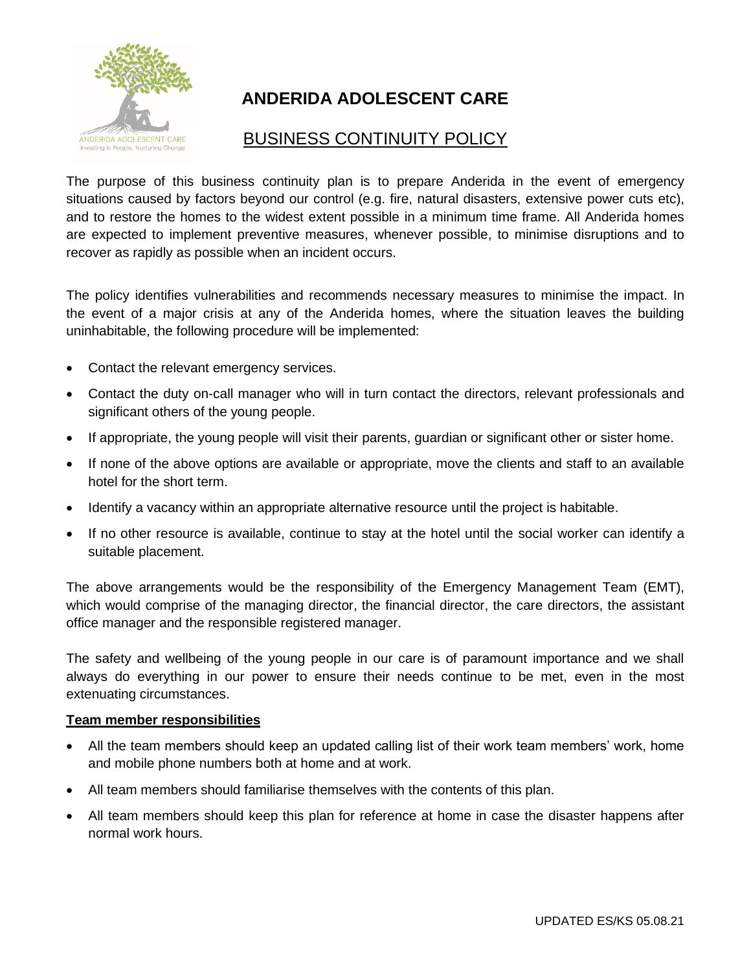

# **ANDERIDA ADOLESCENT CARE**

## BUSINESS CONTINUITY POLICY

The purpose of this business continuity plan is to prepare Anderida in the event of emergency situations caused by factors beyond our control (e.g. fire, natural disasters, extensive power cuts etc), and to restore the homes to the widest extent possible in a minimum time frame. All Anderida homes are expected to implement preventive measures, whenever possible, to minimise disruptions and to recover as rapidly as possible when an incident occurs.

The policy identifies vulnerabilities and recommends necessary measures to minimise the impact. In the event of a major crisis at any of the Anderida homes, where the situation leaves the building uninhabitable, the following procedure will be implemented:

- Contact the relevant emergency services.
- Contact the duty on-call manager who will in turn contact the directors, relevant professionals and significant others of the young people.
- If appropriate, the young people will visit their parents, guardian or significant other or sister home.
- If none of the above options are available or appropriate, move the clients and staff to an available hotel for the short term.
- Identify a vacancy within an appropriate alternative resource until the project is habitable.
- If no other resource is available, continue to stay at the hotel until the social worker can identify a suitable placement.

The above arrangements would be the responsibility of the Emergency Management Team (EMT), which would comprise of the managing director, the financial director, the care directors, the assistant office manager and the responsible registered manager.

The safety and wellbeing of the young people in our care is of paramount importance and we shall always do everything in our power to ensure their needs continue to be met, even in the most extenuating circumstances.

#### **Team member responsibilities**

- All the team members should keep an updated calling list of their work team members' work, home and mobile phone numbers both at home and at work.
- All team members should familiarise themselves with the contents of this plan.
- All team members should keep this plan for reference at home in case the disaster happens after normal work hours.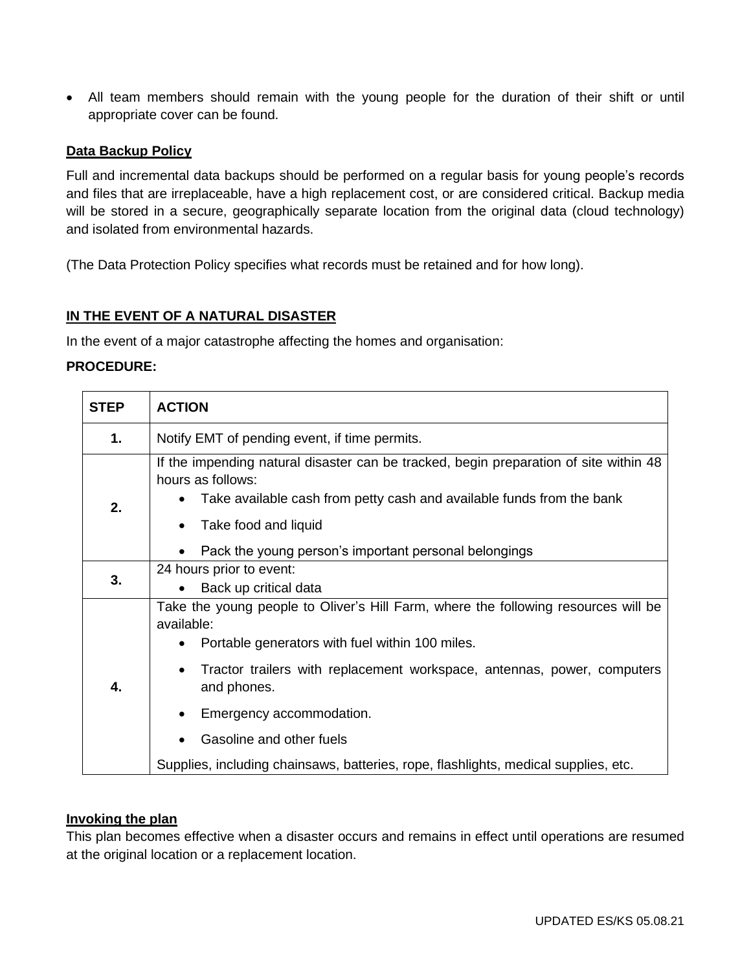• All team members should remain with the young people for the duration of their shift or until appropriate cover can be found.

#### **Data Backup Policy**

Full and incremental data backups should be performed on a regular basis for young people's records and files that are irreplaceable, have a high replacement cost, or are considered critical. Backup media will be stored in a secure, geographically separate location from the original data (cloud technology) and isolated from environmental hazards.

(The Data Protection Policy specifies what records must be retained and for how long).

#### **IN THE EVENT OF A NATURAL DISASTER**

In the event of a major catastrophe affecting the homes and organisation:

#### **PROCEDURE:**

| <b>STEP</b> | <b>ACTION</b>                                                                                                                                                                                               |
|-------------|-------------------------------------------------------------------------------------------------------------------------------------------------------------------------------------------------------------|
| 1.          | Notify EMT of pending event, if time permits.                                                                                                                                                               |
| 2.          | If the impending natural disaster can be tracked, begin preparation of site within 48<br>hours as follows:<br>Take available cash from petty cash and available funds from the bank<br>Take food and liquid |
|             | Pack the young person's important personal belongings                                                                                                                                                       |
| 3.          | 24 hours prior to event:<br>Back up critical data                                                                                                                                                           |
| 4.          | Take the young people to Oliver's Hill Farm, where the following resources will be<br>available:<br>Portable generators with fuel within 100 miles.                                                         |
|             | Tractor trailers with replacement workspace, antennas, power, computers<br>and phones.                                                                                                                      |
|             | Emergency accommodation.                                                                                                                                                                                    |
|             | Gasoline and other fuels                                                                                                                                                                                    |
|             | Supplies, including chainsaws, batteries, rope, flashlights, medical supplies, etc.                                                                                                                         |

#### **Invoking the plan**

This plan becomes effective when a disaster occurs and remains in effect until operations are resumed at the original location or a replacement location.